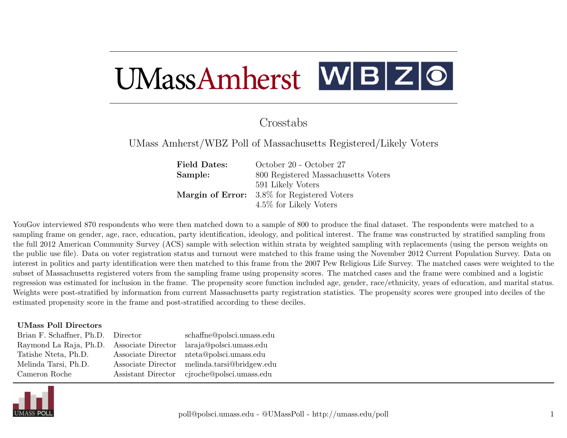# UMassAmherst WBZO

# Crosstabs

UMass Amherst/WBZ Poll of Massachusetts Registered/Likely Voters

Field Dates: October 20 - October 27 Sample: 800 Registered Massachusetts Voters 591 Likely Voters Margin of Error: 3.8% for Registered Voters 4.5% for Likely Voters

YouGov interviewed 870 respondents who were then matched down to a sample of 800 to produce the final dataset. The respondents were matched to a sampling frame on gender, age, race, education, party identification, ideology, and political interest. The frame was constructed by stratified sampling from the full 2012 American Community Survey (ACS) sample with selection within strata by weighted sampling with replacements (using the person weights on the public use file). Data on voter registration status and turnout were matched to this frame using the November 2012 Current Population Survey. Data on interest in politics and party identification were then matched to this frame from the 2007 Pew Religious Life Survey. The matched cases were weighted to the subset of Massachusetts registered voters from the sampling frame using propensity scores. The matched cases and the frame were combined and a logistic regression was estimated for inclusion in the frame. The propensity score function included age, gender, race/ethnicity, years of education, and marital status. Weights were post-stratified by information from current Massachusetts party registration statistics. The propensity scores were grouped into deciles of the estimated propensity score in the frame and post-stratified according to these deciles.

#### UMass Poll Directors

| Brian F. Schaffner, Ph.D. Director        |                    | schaffne@polsci.umass.edu |
|-------------------------------------------|--------------------|---------------------------|
| Raymond La Raja, Ph.D. Associate Director |                    | laraja@polsci.umass.edu   |
| Tatishe Nteta, Ph.D.                      | Associate Director | nteta@polsci.umass.edu    |
| Melinda Tarsi, Ph.D.                      | Associate Director | melinda.tarsi@bridgew.edu |
| Cameron Roche                             | Assistant Director | ciroche@polsci.umass.edu  |
|                                           |                    |                           |

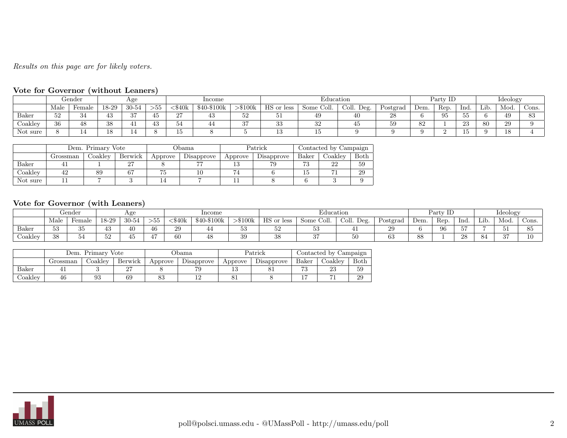# Results on this page are for likely voters.

# Vote for Governor (without Leaners)

|          |          | Gender     |              | Age                            |                  |            | Income      |           |               | Education     |               |                        |      | Party IL |          |      | Ideology |       |
|----------|----------|------------|--------------|--------------------------------|------------------|------------|-------------|-----------|---------------|---------------|---------------|------------------------|------|----------|----------|------|----------|-------|
|          | Male     | Female     | 18-29        | $30 - 54$                      | ---<br>$>\!\!55$ | \$40k      | \$40-\$100k | $>\$100k$ | HS or<br>less | Coll.<br>Some | Deg.<br>Coll. | $\sqrt{ }$<br>Postgrad | Dem. | Rep.     | Ind.     | Lib. | Mod.     | Cons. |
| Baker    | ⊏ດ<br>υz |            | $40^{\circ}$ | $\sim$<br>$\boldsymbol{\cdot}$ |                  | n H<br>. . | ŦΟ          | 52        | υı            | 4Ω            | 40            | 28                     |      | 95       | IJθ      |      | 49       |       |
| Coakley  | 36       | 48         | 38           |                                | ΨΩ               | ӘŦ         |             | 37        | ററ<br>ಀಀ      | υZ            | 45            | 59                     | 82   |          | റാ<br>∠⊍ | 80   | 29       |       |
| Not sure |          | <u>. .</u> |              |                                |                  | πo         |             |           | ⊥∪            |               |               |                        |      |          |          |      | 10       |       |

|          |          | Dem. Primary Vote    |          |         | )bama      |         | Patrick    |              | Contacted by Campaign |      |
|----------|----------|----------------------|----------|---------|------------|---------|------------|--------------|-----------------------|------|
|          | Grossman | $\mathcal{L}$ oaklev | Berwick  | Approve | Disapprove | Approve | Disapprove | Baker        | $\sf{Coaklev}$        | Both |
| Baker    |          |                      | ົ<br>∠ । |         | $- -$      |         | 79         | $\mathbf{E}$ | າາ                    | 59   |
| Coakley  | 42       | 89                   | 67       |         |            |         |            | ΙJ           |                       | 29   |
| Not sure |          |                      |          |         |            |         |            |              |                       |      |

# Vote for Governor (with Leaners)

|                           |           | Gender |                     | Age                   |                      |                                                  | Income      |           |                       | Education             |               |                      |      | Party 1L |            |      | Ideology     |      |
|---------------------------|-----------|--------|---------------------|-----------------------|----------------------|--------------------------------------------------|-------------|-----------|-----------------------|-----------------------|---------------|----------------------|------|----------|------------|------|--------------|------|
|                           | Male      | Female | 18-29               | $30 - 54$             | $\sim$ $\sim$<br>>55 | $\cdot$ $\circ$ $\cdot$ $\circ$ $\cdot$<br>DHUK. | \$40-\$100k | $>\$100k$ | НS<br>or less<br>11 N | - 11<br>Some<br>Coli. | Coll.<br>Deg. | Postgrad             | Dem. | Rep.     | Ind.       | Lib. | Mod.         | Cons |
| Baker                     | - 0<br>ാം | ບ∪     | ±υ                  | 40                    | 46                   | 20<br>∠υ                                         |             | ບບ        | $\sigma$              |                       |               | ാവ<br>∠υ             |      | 96       | --<br>. ಲಾ |      | ∪⊥           |      |
| $\sim$<br><i>J</i> oakley | 28<br>∼   |        | $\sim$ $\sim$<br>υZ | $\overline{ }$<br>45. |                      | 60                                               | 4č          | 39        | $^{\circ}$<br>oо      | $\sim$                | υU            | $\alpha$<br><b>U</b> | ÖŌ.  |          | റ<br>40    |      | $\sim$<br>ುಃ |      |

|         |          | Dem. Primarv | Vote    |          | Dama (     |         | Patrick    |        | Contacted by Campaign |      |
|---------|----------|--------------|---------|----------|------------|---------|------------|--------|-----------------------|------|
|         | Grossman | Joaklev      | Berwick | Approve  | Disapprove | Approve | Disapprove | Baker  | Coaklev               | Both |
| Baker   |          |              | ົ       |          |            |         | ப          | $\sim$ | ഹ<br>∠ા.              | 59   |
| Joakley | 46       | Ω۶           | 69      | ດໆ<br>ററ |            | ΟI      |            | -      | - 4                   | 29   |

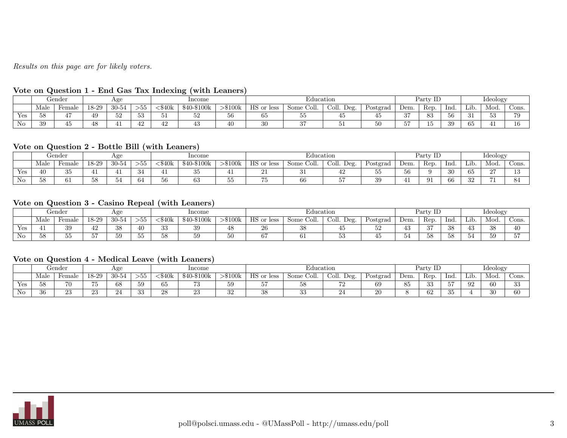Results on this page are for likely voters.

| ----- |      | ------------- |       |          |                     |                     |             | . <b>.</b> . <b>.</b> |               |               |               |          |      |          |      |     |          |              |
|-------|------|---------------|-------|----------|---------------------|---------------------|-------------|-----------------------|---------------|---------------|---------------|----------|------|----------|------|-----|----------|--------------|
|       |      | Gender        |       | ۔ دے مصد |                     |                     | Income      |                       |               | Education     |               |          |      | Party ID |      |     | Ideology |              |
|       | Male | Female        | 18-29 | 30-54    | ---<br>ノウワ          | \$40k               | \$40-\$100k | $>\$100k$             | HS or<br>less | Coll.<br>Some | Coll.<br>Deg. | Postgrad | Dem. | Rep.     | Ind. | Lib | Mod.     | $\circ$ ons. |
| Yes   | 58   |               | 49    | 52       | $\sim$ $\sim$<br>১১ | $\sim$ $\sim$<br>υı | ЭZ          | $\sim$ $\sim$<br>Эb   | $\sim$<br>65  |               |               |          | o H  | 83       |      | -31 | 53       | 70           |
| No    | 39   | ΞIJ           | 48    |          | $\Lambda$<br>42     | 10.<br>44           |             | 40                    | 30            |               |               |          | --   | ΤÛ       | 39   | 65  |          |              |

#### Vote on Question 1 - End Gas Tax Indexing (with Leaners)

# Vote on Question 2 - Bottle Bill (with Leaners)

|                    |      | Gender              |                     | Age   |                      |                     | Income                |                     |                       | Education    |               |                |            |      |                       |                                     | Ideology      |              |
|--------------------|------|---------------------|---------------------|-------|----------------------|---------------------|-----------------------|---------------------|-----------------------|--------------|---------------|----------------|------------|------|-----------------------|-------------------------------------|---------------|--------------|
|                    | Male | Female              | 18-29               | 30-54 | $\sim$ $\sim$<br>>55 | ሱ ላሴ<br>. D4UK      | $$40-$100k$           | $-\$100\mathrm{k}$  | HQ<br>s or less<br>пэ | Some<br>ĴОШ. | Coll.<br>Deg. | Postgrad       | Dem.       | Rep. | Ind                   | $\mathbf{r}$ . $\mathbf{r}$<br>Lib. | Mod.          | $\cup$ ons.  |
| Yes                | 40.  | $\sim$ $\sim$<br>υU |                     |       | ംപ                   |                     | $\Omega$ $\sim$<br>ഄഄ | <b>**</b>           | --                    | . ப          | 44            | - -<br>ಀಀ      | ہ ۔<br>ヽレヽ |      | 30                    | $\sim$<br>65                        | $\sim$<br>∼   | $\sim$<br>⊥∪ |
| $\mathbf{r}$<br>N0 | -58  | $\sim$<br>UΙ        | $\sim$ $\sim$<br>ಾರ | ാച    | 04                   | $\sim$ $\sim$<br>эp | مہ<br>63              | $\sim$ $\sim$<br>ບບ | $-$<br>ιυ             | oo           |               | $\Omega$<br>১১ |            | 91   | $\overline{a}$<br>-66 | 32                                  | $\rightarrow$ |              |

#### Vote on Question 3 - Casino Repeal (with Leaners)

|                    |      | Gender   |                  | Age       |                               |       | Income      |               |                      | Education              |               |          |                  | Party ID       |                     |                               | ideology |      |
|--------------------|------|----------|------------------|-----------|-------------------------------|-------|-------------|---------------|----------------------|------------------------|---------------|----------|------------------|----------------|---------------------|-------------------------------|----------|------|
|                    | Male | Female   | 18-29            | $30 -$    | $\sim$ $\sim$<br>>55          | \$40k | \$40-\$100k | $>\$100\rm k$ | <b>HS</b><br>or less | $_{\rm some}$<br>COII. | Deg.<br>Coll. | Postgrad | Dem.             | Rep.           | Ind                 | Lib                           | Mod.     | Cons |
| $\mathbf{v}$       |      | 39       | $\sqrt{2}$<br>74 | ററ<br>ುರಿ | 40                            | ົດ    | 39          |               | $\Omega$<br>20       |                        |               |          | $\sqrt{2}$<br>40 | $\Omega$<br>υı | 38                  | $\sqrt{2}$<br>40              | 92<br>ഄഄ |      |
| $\mathbf{r}$<br>ΝO | 58   | --<br>ບບ | $-$              | 59        | $\sim$ $\sim$<br>$\sim$<br>്ക | טע    | 59          | 50            | $\sim$<br>07         |                        | ບບ            |          | ⊖Œ               | 58             | $\sim$ $\sim$<br>১୪ | $\tilde{\phantom{a}}$<br>- 54 | ≍ດ<br>IJ |      |

#### Vote on Question 4 - Medical Leave (with Leaners)

|                     |      | Gender   |          | $A\mu$ |            |              | Income      |               |            | Education     |               |          |         | Party ID |               |      | <b>Ideology</b> |          |
|---------------------|------|----------|----------|--------|------------|--------------|-------------|---------------|------------|---------------|---------------|----------|---------|----------|---------------|------|-----------------|----------|
|                     | Male | Female   | 18-29    | 30-54  | ---<br>>55 | :\$40k       | \$40-\$100k | $-$ \$100 $k$ | HS or less | Coll.<br>Some | Deg.<br>Coll. | Postgrad | Dem.    | Rep.     | -Ind          | Lib. | Mod.            | Cons.    |
| Yes                 | 58   | 70       | $- -$    | 68     | 59         | $\sim$<br>ээ | - -<br>ιυ   | 59            | --         |               |               | 69       | ∼<br>эü | ച<br>55  | $-$<br>◡      | 92   | 60              | ചെ<br>ഄഄ |
| $\mathbf{v}$<br>NO. | 36   | ററ<br>∠⊍ | ഹ<br>∠.∪ | 44     | ചെ<br>ಀಀ   | 40           | o۴<br>∠⊍    | າດ<br>υZ      | 38         |               | ∠≖            | 20       |         | 62       | $\sim$<br>-35 |      | 30              | 60       |